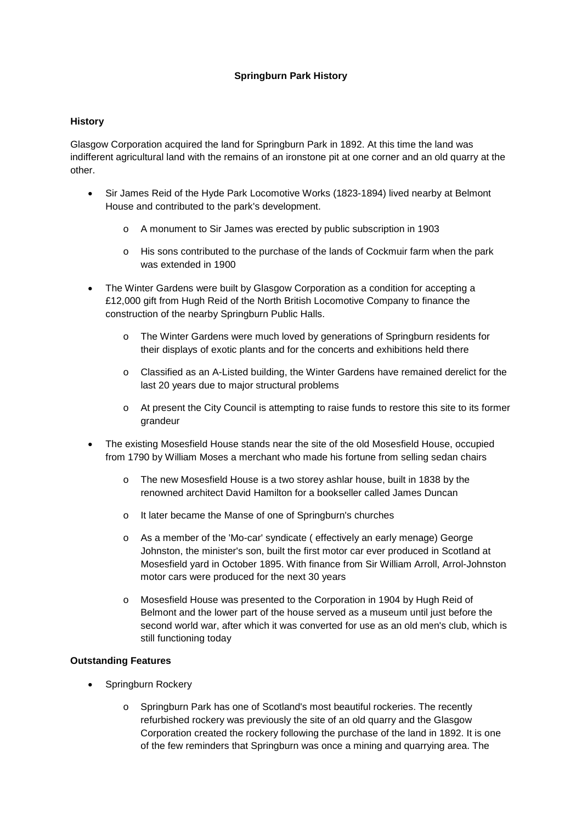## **Springburn Park History**

## **History**

Glasgow Corporation acquired the land for Springburn Park in 1892. At this time the land was indifferent agricultural land with the remains of an ironstone pit at one corner and an old quarry at the other.

- Sir James Reid of the Hyde Park Locomotive Works (1823-1894) lived nearby at Belmont House and contributed to the park's development.
	- o A monument to Sir James was erected by public subscription in 1903
	- o His sons contributed to the purchase of the lands of Cockmuir farm when the park was extended in 1900
- The Winter Gardens were built by Glasgow Corporation as a condition for accepting a £12,000 gift from Hugh Reid of the North British Locomotive Company to finance the construction of the nearby Springburn Public Halls.
	- The Winter Gardens were much loved by generations of Springburn residents for their displays of exotic plants and for the concerts and exhibitions held there
	- o Classified as an A-Listed building, the Winter Gardens have remained derelict for the last 20 years due to major structural problems
	- o At present the City Council is attempting to raise funds to restore this site to its former grandeur
- The existing Mosesfield House stands near the site of the old Mosesfield House, occupied from 1790 by William Moses a merchant who made his fortune from selling sedan chairs
	- The new Mosesfield House is a two storey ashlar house, built in 1838 by the renowned architect David Hamilton for a bookseller called James Duncan
	- o It later became the Manse of one of Springburn's churches
	- o As a member of the 'Mo-car' syndicate ( effectively an early menage) George Johnston, the minister's son, built the first motor car ever produced in Scotland at Mosesfield yard in October 1895. With finance from Sir William Arroll, Arrol-Johnston motor cars were produced for the next 30 years
	- o Mosesfield House was presented to the Corporation in 1904 by Hugh Reid of Belmont and the lower part of the house served as a museum until just before the second world war, after which it was converted for use as an old men's club, which is still functioning today

## **Outstanding Features**

- Springburn Rockery
	- o Springburn Park has one of Scotland's most beautiful rockeries. The recently refurbished rockery was previously the site of an old quarry and the Glasgow Corporation created the rockery following the purchase of the land in 1892. It is one of the few reminders that Springburn was once a mining and quarrying area. The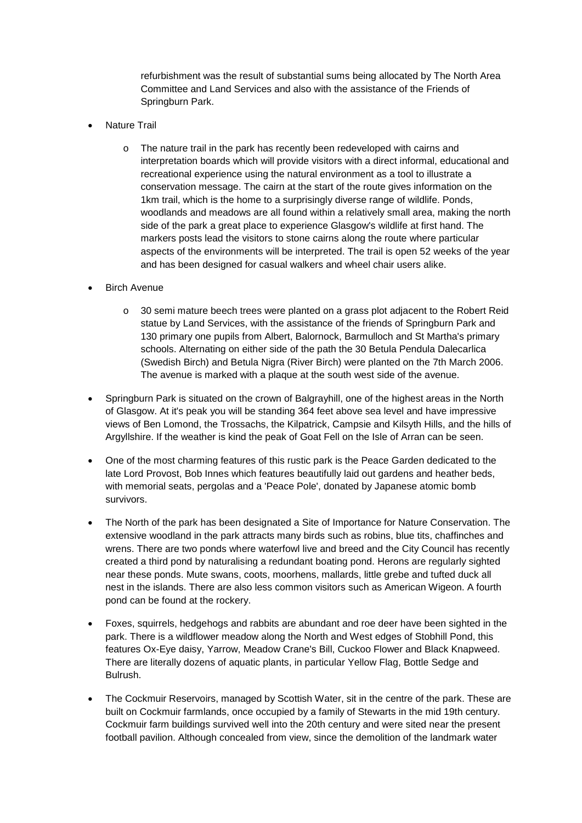refurbishment was the result of substantial sums being allocated by The North Area Committee and Land Services and also with the assistance of the Friends of Springburn Park.

- **Nature Trail** 
	- o The nature trail in the park has recently been redeveloped with cairns and interpretation boards which will provide visitors with a direct informal, educational and recreational experience using the natural environment as a tool to illustrate a conservation message. The cairn at the start of the route gives information on the 1km trail, which is the home to a surprisingly diverse range of wildlife. Ponds, woodlands and meadows are all found within a relatively small area, making the north side of the park a great place to experience Glasgow's wildlife at first hand. The markers posts lead the visitors to stone cairns along the route where particular aspects of the environments will be interpreted. The trail is open 52 weeks of the year and has been designed for casual walkers and wheel chair users alike.
- **Birch Avenue** 
	- o 30 semi mature beech trees were planted on a grass plot adjacent to the Robert Reid statue by Land Services, with the assistance of the friends of Springburn Park and 130 primary one pupils from Albert, Balornock, Barmulloch and St Martha's primary schools. Alternating on either side of the path the 30 Betula Pendula Dalecarlica (Swedish Birch) and Betula Nigra (River Birch) were planted on the 7th March 2006. The avenue is marked with a plaque at the south west side of the avenue.
- Springburn Park is situated on the crown of Balgrayhill, one of the highest areas in the North of Glasgow. At it's peak you will be standing 364 feet above sea level and have impressive views of Ben Lomond, the Trossachs, the Kilpatrick, Campsie and Kilsyth Hills, and the hills of Argyllshire. If the weather is kind the peak of Goat Fell on the Isle of Arran can be seen.
- One of the most charming features of this rustic park is the Peace Garden dedicated to the late Lord Provost, Bob Innes which features beautifully laid out gardens and heather beds, with memorial seats, pergolas and a 'Peace Pole', donated by Japanese atomic bomb survivors.
- The North of the park has been designated a Site of Importance for Nature Conservation. The extensive woodland in the park attracts many birds such as robins, blue tits, chaffinches and wrens. There are two ponds where waterfowl live and breed and the City Council has recently created a third pond by naturalising a redundant boating pond. Herons are regularly sighted near these ponds. Mute swans, coots, moorhens, mallards, little grebe and tufted duck all nest in the islands. There are also less common visitors such as American Wigeon. A fourth pond can be found at the rockery.
- Foxes, squirrels, hedgehogs and rabbits are abundant and roe deer have been sighted in the park. There is a wildflower meadow along the North and West edges of Stobhill Pond, this features Ox-Eye daisy, Yarrow, Meadow Crane's Bill, Cuckoo Flower and Black Knapweed. There are literally dozens of aquatic plants, in particular Yellow Flag, Bottle Sedge and Bulrush.
- The Cockmuir Reservoirs, managed by Scottish Water, sit in the centre of the park. These are built on Cockmuir farmlands, once occupied by a family of Stewarts in the mid 19th century. Cockmuir farm buildings survived well into the 20th century and were sited near the present football pavilion. Although concealed from view, since the demolition of the landmark water